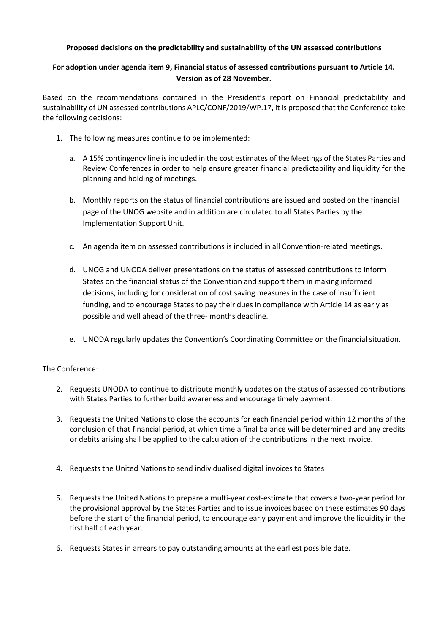## **Proposed decisions on the predictability and sustainability of the UN assessed contributions**

## **For adoption under agenda item 9, Financial status of assessed contributions pursuant to Article 14. Version as of 28 November.**

Based on the recommendations contained in the President's report on Financial predictability and sustainability of UN assessed contributions APLC/CONF/2019/WP.17, it is proposed that the Conference take the following decisions:

- 1. The following measures continue to be implemented:
	- a. A 15% contingency line is included in the cost estimates of the Meetings of the States Parties and Review Conferences in order to help ensure greater financial predictability and liquidity for the planning and holding of meetings.
	- b. Monthly reports on the status of financial contributions are issued and posted on the financial page of the UNOG website and in addition are circulated to all States Parties by the Implementation Support Unit.
	- c. An agenda item on assessed contributions is included in all Convention-related meetings.
	- d. UNOG and UNODA deliver presentations on the status of assessed contributions to inform States on the financial status of the Convention and support them in making informed decisions, including for consideration of cost saving measures in the case of insufficient funding, and to encourage States to pay their dues in compliance with Article 14 as early as possible and well ahead of the three- months deadline.
	- e. UNODA regularly updates the Convention's Coordinating Committee on the financial situation.

## The Conference:

- 2. Requests UNODA to continue to distribute monthly updates on the status of assessed contributions with States Parties to further build awareness and encourage timely payment.
- 3. Requests the United Nations to close the accounts for each financial period within 12 months of the conclusion of that financial period, at which time a final balance will be determined and any credits or debits arising shall be applied to the calculation of the contributions in the next invoice.
- 4. Requests the United Nations to send individualised digital invoices to States
- 5. Requests the United Nations to prepare a multi-year cost-estimate that covers a two-year period for the provisional approval by the States Parties and to issue invoices based on these estimates 90 days before the start of the financial period, to encourage early payment and improve the liquidity in the first half of each year.
- 6. Requests States in arrears to pay outstanding amounts at the earliest possible date.